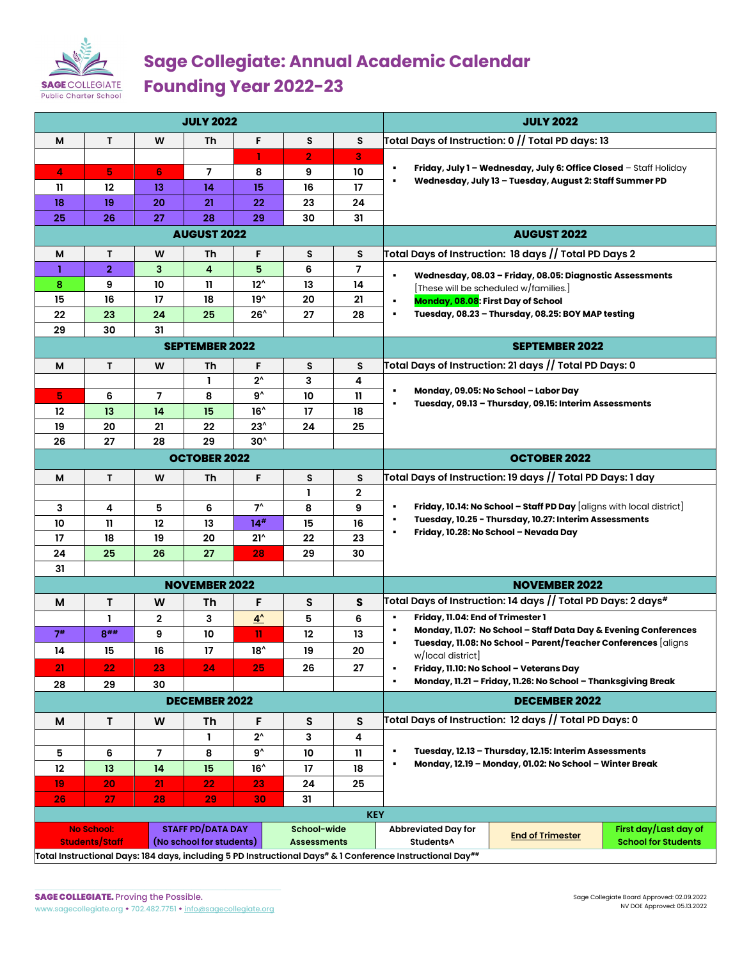

## **Sage Collegiate: Annual Academic Calendar Founding Year 2022-23**

|                                                                                                           |                       |                | <b>JULY 2022</b>         |                   |                | <b>JULY 2022</b>     |                                                                                                                                             |  |
|-----------------------------------------------------------------------------------------------------------|-----------------------|----------------|--------------------------|-------------------|----------------|----------------------|---------------------------------------------------------------------------------------------------------------------------------------------|--|
| м                                                                                                         | T.                    | W              | Th                       | F                 | S              | s                    | Total Days of Instruction: 0 // Total PD days: 13                                                                                           |  |
|                                                                                                           |                       |                |                          | ı                 | $\overline{2}$ | 3                    |                                                                                                                                             |  |
| 4                                                                                                         | 5.                    | 6              | $\overline{7}$           | 8                 | 9              | 10                   | Friday, July 1 - Wednesday, July 6: Office Closed - Staff Holiday<br>٠                                                                      |  |
| 11                                                                                                        | 12                    | 13             | 14                       | 15                | 16             | 17                   | $\blacksquare$<br>Wednesday, July 13 - Tuesday, August 2: Staff Summer PD                                                                   |  |
| 18                                                                                                        | 19                    | 20             | 21                       | 22                | 23             | 24                   |                                                                                                                                             |  |
| 25                                                                                                        | 26                    | 27             | 28                       | 29                | 30             | 31                   |                                                                                                                                             |  |
|                                                                                                           |                       |                | <b>AUGUST 2022</b>       |                   |                | <b>AUGUST 2022</b>   |                                                                                                                                             |  |
| М                                                                                                         | Τ                     | W              | Τh                       | F                 | s              | S                    | Total Days of Instruction: 18 days // Total PD Days 2                                                                                       |  |
| T                                                                                                         | $\overline{2}$        | 3              | 4                        | 5                 | 6              | $\overline{7}$       | Wednesday, 08.03 - Friday, 08.05: Diagnostic Assessments<br>$\blacksquare$                                                                  |  |
| 8                                                                                                         | 9                     | 10             | $\mathbf{11}$            | $12^{\wedge}$     | 13             | 14                   | [These will be scheduled w/families.]                                                                                                       |  |
| 15                                                                                                        | 16                    | 17             | 18                       | $19^$             | 20             | 21                   | Monday, 08.08: First Day of School<br>$\blacksquare$                                                                                        |  |
| 22                                                                                                        | 23                    | 24             | 25                       | $26^$             | 27             | 28                   | Tuesday, 08.23 - Thursday, 08.25: BOY MAP testing<br>$\blacksquare$                                                                         |  |
| 29                                                                                                        | 30                    | 31             |                          |                   |                |                      |                                                                                                                                             |  |
|                                                                                                           |                       |                | <b>SEPTEMBER 2022</b>    |                   |                |                      | <b>SEPTEMBER 2022</b>                                                                                                                       |  |
| М                                                                                                         | Τ                     | W              | Th                       | F<br>$2^{\wedge}$ | s              | s                    | Total Days of Instruction: 21 days // Total PD Days: 0                                                                                      |  |
| 5                                                                                                         | 6                     | $\overline{7}$ | I.<br>8                  | 9^                | 3<br>10        | 4<br>$\mathbf{1}$    | Monday, 09.05: No School - Labor Day<br>٠                                                                                                   |  |
| $12 \,$                                                                                                   | 13                    | 14             | 15                       | $16^$             | 17             | 18                   | Tuesday, 09.13 - Thursday, 09.15: Interim Assessments<br>٠                                                                                  |  |
| 19                                                                                                        | 20                    | 21             | 22                       | $23^{\wedge}$     | 24             | 25                   |                                                                                                                                             |  |
| 26                                                                                                        | 27                    | 28             | 29                       | 30^               |                |                      |                                                                                                                                             |  |
| <b>OCTOBER 2022</b>                                                                                       |                       |                |                          |                   |                |                      | <b>OCTOBER 2022</b>                                                                                                                         |  |
| М                                                                                                         | Τ                     | W              | Th                       | F                 | s              | S                    | Total Days of Instruction: 19 days // Total PD Days: 1 day                                                                                  |  |
|                                                                                                           |                       |                |                          |                   | ı              | $\mathbf{2}$         |                                                                                                                                             |  |
| 3                                                                                                         | 4                     | 5              | 6                        | $7^$              | 8              | 9                    | Friday, 10.14: No School - Staff PD Day $[$ aligns with local district $]$<br>$\blacksquare$                                                |  |
| 10                                                                                                        | 11                    | 12             | 13                       | 14#               | 15             | 16                   | Tuesday, 10.25 - Thursday, 10.27: Interim Assessments<br>٠                                                                                  |  |
| 17                                                                                                        | 18                    | 19             | 20                       | $21^$             | 22             | 23                   | Friday, 10.28: No School - Nevada Day<br>٠                                                                                                  |  |
| 24                                                                                                        | 25                    | 26             | 27                       | 28                | 29             | 30                   |                                                                                                                                             |  |
| 31                                                                                                        |                       |                |                          |                   |                |                      |                                                                                                                                             |  |
|                                                                                                           | <b>NOVEMBER 2022</b>  |                |                          |                   |                | <b>NOVEMBER 2022</b> |                                                                                                                                             |  |
| М                                                                                                         | Τ                     | W              | Th                       | F.                | S              | S                    | Total Days of Instruction: 14 days // Total PD Days: 2 days#                                                                                |  |
|                                                                                                           | ı                     | $\mathbf{2}$   | 3                        | $4^{\prime}$      | 5              | 6                    | Friday, 11.04: End of Trimester 1<br>$\blacksquare$                                                                                         |  |
| 7 <sup>#</sup>                                                                                            | $8$ <sup>##</sup>     | 9              | 10                       | n                 | 12             | 13                   | Monday, 11.07: No School - Staff Data Day & Evening Conferences<br>٠<br>Tuesday, 11.08: No School - Parent/Teacher Conferences [aligns<br>٠ |  |
| 14                                                                                                        | 15                    | 16             | 17                       | $18^{\wedge}$     | 19             | 20                   | w/local district]                                                                                                                           |  |
| 21                                                                                                        | 22                    | 23             | 24                       | 25                | 26             | 27                   | Friday, 11.10: No School - Veterans Day<br>٠                                                                                                |  |
| 28                                                                                                        | 29                    | 30             |                          |                   |                |                      | Monday, 11.21 - Friday, 11.26: No School - Thanksgiving Break                                                                               |  |
|                                                                                                           |                       |                | <b>DECEMBER 2022</b>     |                   |                |                      | <b>DECEMBER 2022</b>                                                                                                                        |  |
| М                                                                                                         | T                     | W              | Th                       | F                 | S              | S                    | Total Days of Instruction: 12 days // Total PD Days: 0                                                                                      |  |
|                                                                                                           |                       |                | L                        | $2^{\wedge}$      | 3              | 4                    |                                                                                                                                             |  |
| 5                                                                                                         | 6                     | $\overline{7}$ | 8                        | 9^                | 10             | $\mathbf{11}$        | Tuesday, 12.13 - Thursday, 12.15: Interim Assessments<br>٠                                                                                  |  |
| 12                                                                                                        | 13                    | 14             | 15                       | $16^$             | 17             | 18                   | Monday, 12.19 - Monday, 01.02: No School - Winter Break<br>٠                                                                                |  |
| 19                                                                                                        | 20                    | 21             | 22                       | 23                | 24             | 25                   |                                                                                                                                             |  |
| 26                                                                                                        | 27                    | 28             | 29                       | 30                | 31             |                      |                                                                                                                                             |  |
|                                                                                                           | <b>No School:</b>     |                | <b>STAFF PD/DATA DAY</b> |                   | School-wide    | <b>KEY</b>           | First day/Last day of                                                                                                                       |  |
|                                                                                                           | <b>Students/Staff</b> |                | (No school for students) |                   | Assessments    |                      | <b>Abbreviated Day for</b><br><b>End of Trimester</b><br><b>School for Students</b><br>Students^                                            |  |
| Total Instructional Days: 184 days, including 5 PD Instructional Days# & 1 Conference Instructional Day## |                       |                |                          |                   |                |                      |                                                                                                                                             |  |